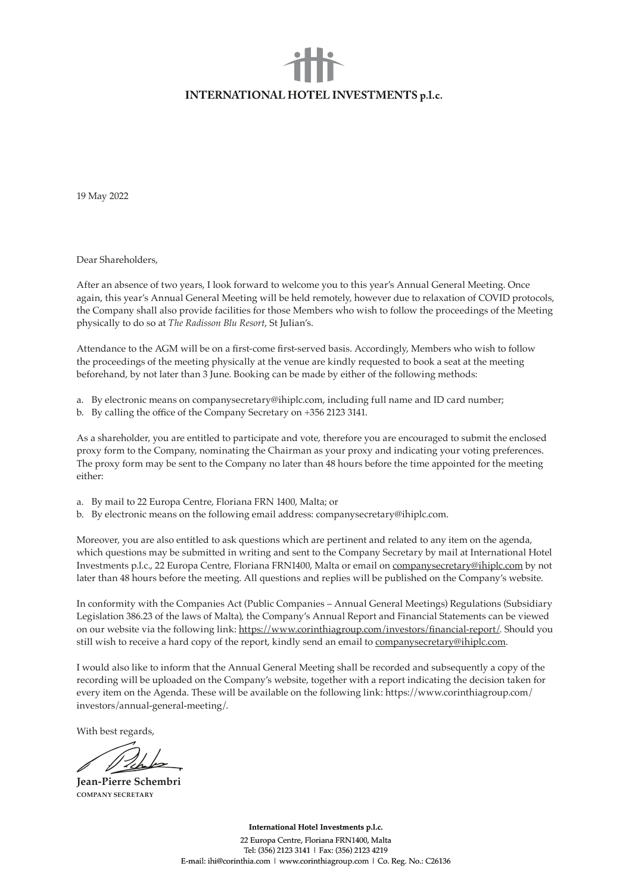## **INTERNATIONAL HOTEL INVESTMENTS p.l.c.**

19 May 2022

Dear Shareholders,

After an absence of two years, I look forward to welcome you to this year's Annual General Meeting. Once again, this year's Annual General Meeting will be held remotely, however due to relaxation of COVID protocols, the Company shall also provide facilities for those Members who wish to follow the proceedings of the Meeting physically to do so at *The Radisson Blu Resort*, St Julian's.

Attendance to the AGM will be on a first-come first-served basis. Accordingly, Members who wish to follow the proceedings of the meeting physically at the venue are kindly requested to book a seat at the meeting beforehand, by not later than 3 June. Booking can be made by either of the following methods:

- a. By electronic means on companysecretary@ihiplc.com, including full name and ID card number;
- b. By calling the office of the Company Secretary on +356 2123 3141.

As a shareholder, you are entitled to participate and vote, therefore you are encouraged to submit the enclosed proxy form to the Company, nominating the Chairman as your proxy and indicating your voting preferences. The proxy form may be sent to the Company no later than 48 hours before the time appointed for the meeting either:

- a. By mail to 22 Europa Centre, Floriana FRN 1400, Malta; or
- b. By electronic means on the following email address: companysecretary@ihiplc.com.

Moreover, you are also entitled to ask questions which are pertinent and related to any item on the agenda, which questions may be submitted in writing and sent to the Company Secretary by mail at International Hotel Investments p.l.c., 22 Europa Centre, Floriana FRN1400, Malta or email on companysecretary@ihiplc.com by not later than 48 hours before the meeting. All questions and replies will be published on the Company's website.

In conformity with the Companies Act (Public Companies – Annual General Meetings) Regulations (Subsidiary Legislation 386.23 of the laws of Malta), the Company's Annual Report and Financial Statements can be viewed on our website via the following link: https://www.corinthiagroup.com/investors/financial-report/. Should you still wish to receive a hard copy of the report, kindly send an email to companysecretary@ihiplc.com.

I would also like to inform that the Annual General Meeting shall be recorded and subsequently a copy of the recording will be uploaded on the Company's website, together with a report indicating the decision taken for every item on the Agenda. These will be available on the following link: https://www.corinthiagroup.com/ investors/annual-general-meeting/.

With best regards,

**Jean-Pierre Schembri COMPANY SECRETARY**

**International Hotel Investments p.l.c.**

22 Europa Centre, Floriana FRN1400, Malta Tel: (356) 2123 3141 | Fax: (356) 2123 4219 E-mail: ihi@corinthia.com | www.corinthiagroup.com | Co. Reg. No.: C26136